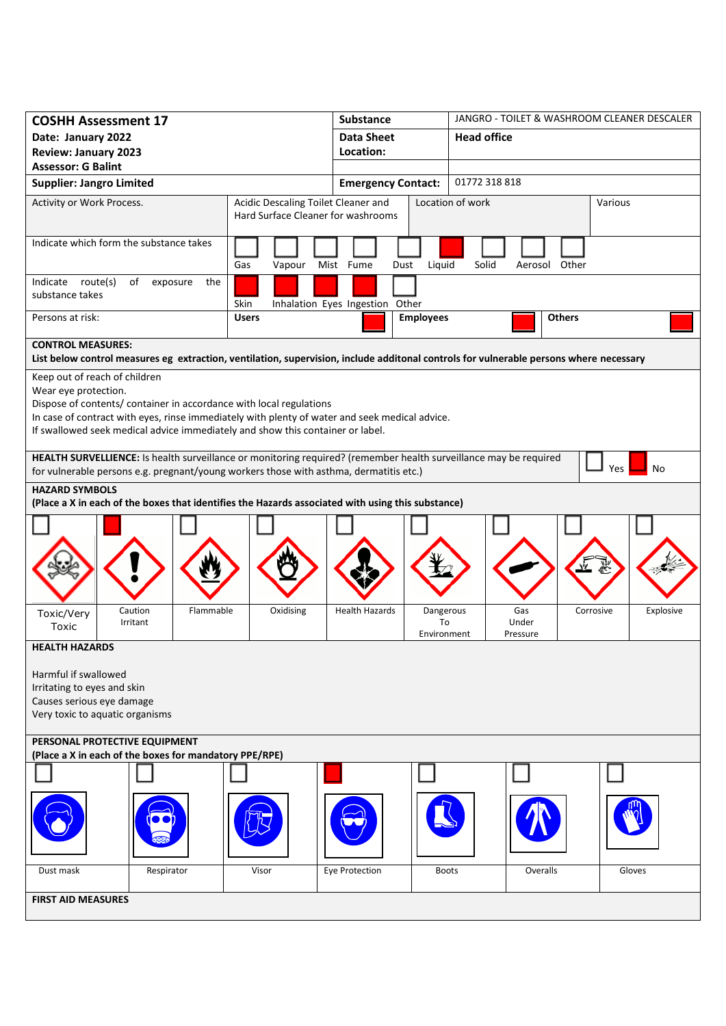| <b>COSHH Assessment 17</b>                                                                                                                                                                                                                                                      |                                                                           | <b>Substance</b>                                        | JANGRO - TOILET & WASHROOM CLEANER DESCALER |                        |  |  |  |
|---------------------------------------------------------------------------------------------------------------------------------------------------------------------------------------------------------------------------------------------------------------------------------|---------------------------------------------------------------------------|---------------------------------------------------------|---------------------------------------------|------------------------|--|--|--|
| Date: January 2022                                                                                                                                                                                                                                                              |                                                                           | <b>Data Sheet</b>                                       | <b>Head office</b>                          |                        |  |  |  |
| <b>Review: January 2023</b>                                                                                                                                                                                                                                                     |                                                                           | Location:                                               |                                             |                        |  |  |  |
| <b>Assessor: G Balint</b>                                                                                                                                                                                                                                                       |                                                                           |                                                         |                                             |                        |  |  |  |
| <b>Supplier: Jangro Limited</b>                                                                                                                                                                                                                                                 |                                                                           | <b>Emergency Contact:</b>                               | 01772 318 818                               |                        |  |  |  |
| Activity or Work Process.                                                                                                                                                                                                                                                       | Acidic Descaling Toilet Cleaner and<br>Hard Surface Cleaner for washrooms |                                                         | Location of work                            | Various                |  |  |  |
| Indicate which form the substance takes                                                                                                                                                                                                                                         | Gas<br>Vapour                                                             | Liquid<br>Mist Fume<br>Dust                             | Solid<br>Other<br>Aerosol                   |                        |  |  |  |
| Indicate route(s)<br>of<br>the<br>exposure<br>substance takes                                                                                                                                                                                                                   | Skin                                                                      | Inhalation Eyes Ingestion Other                         |                                             |                        |  |  |  |
| Persons at risk:                                                                                                                                                                                                                                                                | <b>Users</b>                                                              | <b>Employees</b>                                        | <b>Others</b>                               |                        |  |  |  |
| <b>CONTROL MEASURES:</b><br>List below control measures eg extraction, ventilation, supervision, include additonal controls for vulnerable persons where necessary                                                                                                              |                                                                           |                                                         |                                             |                        |  |  |  |
| Keep out of reach of children                                                                                                                                                                                                                                                   |                                                                           |                                                         |                                             |                        |  |  |  |
| Wear eye protection.<br>Dispose of contents/ container in accordance with local regulations<br>In case of contract with eyes, rinse immediately with plenty of water and seek medical advice.<br>If swallowed seek medical advice immediately and show this container or label. |                                                                           |                                                         |                                             |                        |  |  |  |
| HEALTH SURVELLIENCE: Is health surveillance or monitoring required? (remember health surveillance may be required<br>No<br>Yes<br>for vulnerable persons e.g. pregnant/young workers those with asthma, dermatitis etc.)                                                        |                                                                           |                                                         |                                             |                        |  |  |  |
| <b>HAZARD SYMBOLS</b><br>(Place a X in each of the boxes that identifies the Hazards associated with using this substance)                                                                                                                                                      |                                                                           |                                                         |                                             |                        |  |  |  |
|                                                                                                                                                                                                                                                                                 |                                                                           |                                                         |                                             |                        |  |  |  |
| Flammable<br>Caution<br>Toxic/Very<br>Irritant<br>Toxic                                                                                                                                                                                                                         | Oxidising                                                                 | <b>Health Hazards</b><br>Dangerous<br>To<br>Environment | Gas<br>Under<br>Pressure                    | Explosive<br>Corrosive |  |  |  |
| <b>HEALTH HAZARDS</b>                                                                                                                                                                                                                                                           |                                                                           |                                                         |                                             |                        |  |  |  |
| Harmful if swallowed<br>Irritating to eyes and skin<br>Causes serious eye damage<br>Very toxic to aquatic organisms                                                                                                                                                             |                                                                           |                                                         |                                             |                        |  |  |  |
| PERSONAL PROTECTIVE EQUIPMENT<br>(Place a X in each of the boxes for mandatory PPE/RPE)                                                                                                                                                                                         |                                                                           |                                                         |                                             |                        |  |  |  |
|                                                                                                                                                                                                                                                                                 |                                                                           |                                                         |                                             |                        |  |  |  |
|                                                                                                                                                                                                                                                                                 |                                                                           |                                                         |                                             |                        |  |  |  |
| Dust mask<br>Respirator                                                                                                                                                                                                                                                         | Visor                                                                     | Eye Protection                                          | Overalls<br><b>Boots</b>                    | Gloves                 |  |  |  |
| <b>FIRST AID MEASURES</b>                                                                                                                                                                                                                                                       |                                                                           |                                                         |                                             |                        |  |  |  |